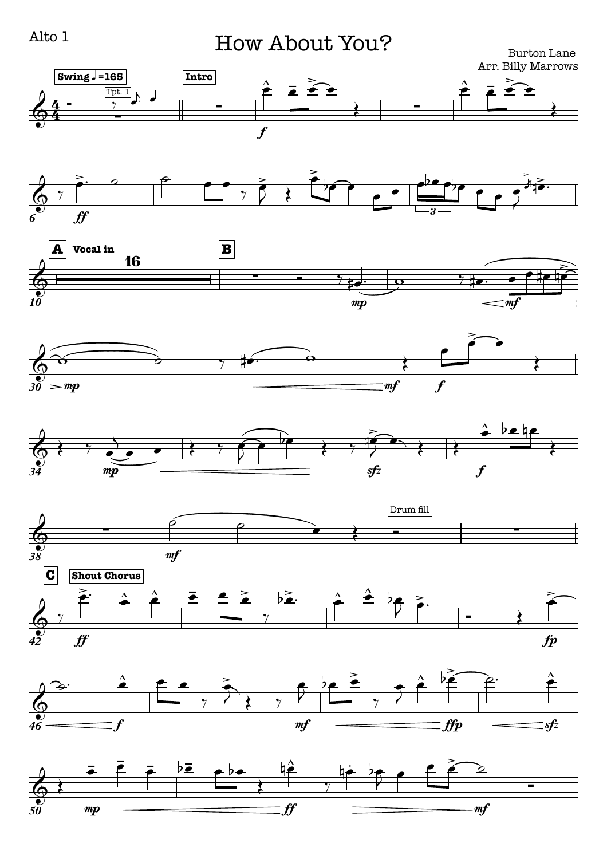## How About You?

Burton Lane Arr. Billy Marrows

















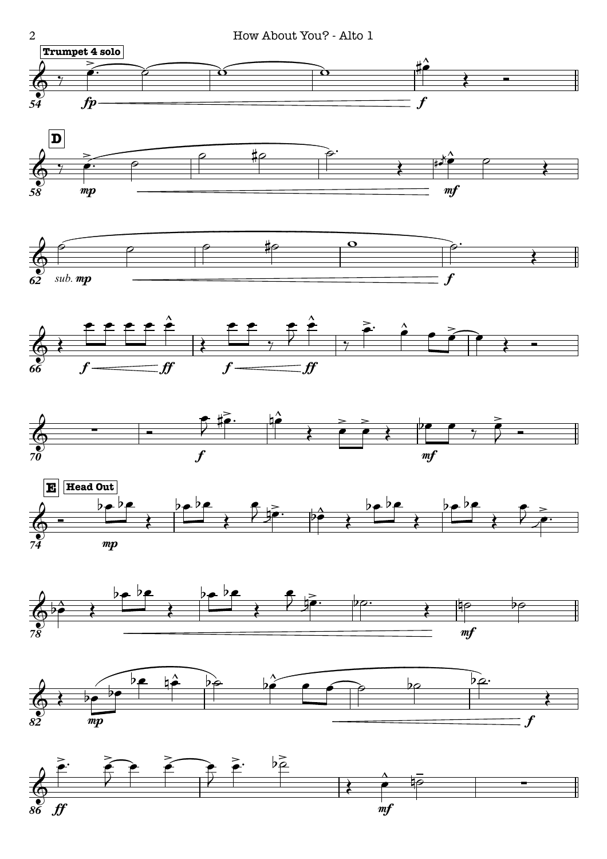